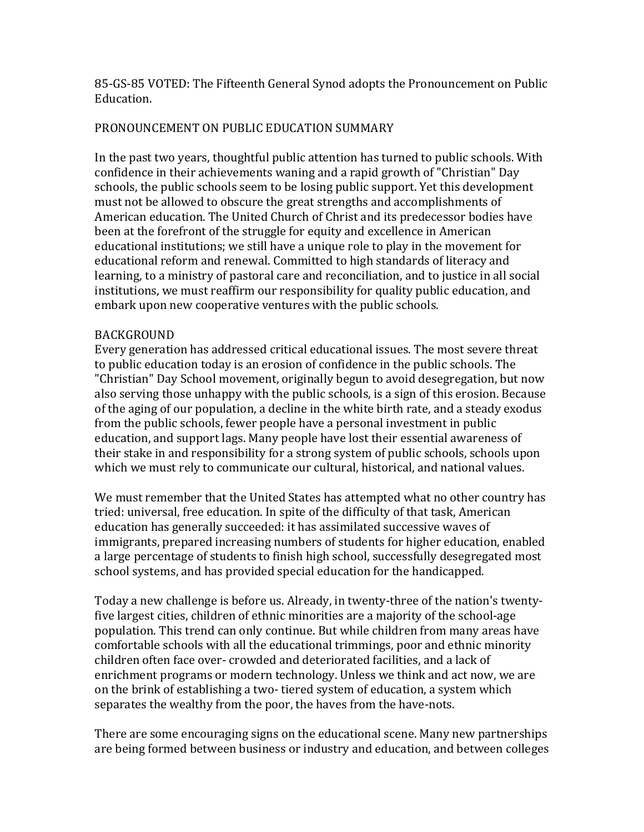85-GS-85 VOTED: The Fifteenth General Synod adopts the Pronouncement on Public Education.

# PRONOUNCEMENT ON PUBLIC EDUCATION SUMMARY

In the past two years, thoughtful public attention has turned to public schools. With confidence in their achievements waning and a rapid growth of "Christian" Day schools, the public schools seem to be losing public support. Yet this development must not be allowed to obscure the great strengths and accomplishments of American education. The United Church of Christ and its predecessor bodies have been at the forefront of the struggle for equity and excellence in American educational institutions; we still have a unique role to play in the movement for educational reform and renewal. Committed to high standards of literacy and learning, to a ministry of pastoral care and reconciliation, and to justice in all social institutions, we must reaffirm our responsibility for quality public education, and embark upon new cooperative ventures with the public schools.

### BACKGROUND

Every generation has addressed critical educational issues. The most severe threat to public education today is an erosion of confidence in the public schools. The "Christian" Day School movement, originally begun to avoid desegregation, but now also serving those unhappy with the public schools, is a sign of this erosion. Because of the aging of our population, a decline in the white birth rate, and a steady exodus from the public schools, fewer people have a personal investment in public education, and support lags. Many people have lost their essential awareness of their stake in and responsibility for a strong system of public schools, schools upon which we must rely to communicate our cultural, historical, and national values.

We must remember that the United States has attempted what no other country has tried: universal, free education. In spite of the difficulty of that task, American education has generally succeeded: it has assimilated successive waves of immigrants, prepared increasing numbers of students for higher education, enabled a large percentage of students to finish high school, successfully desegregated most school systems, and has provided special education for the handicapped.

Today a new challenge is before us. Already, in twenty-three of the nation's twentyfive largest cities, children of ethnic minorities are a majority of the school-age population. This trend can only continue. But while children from many areas have comfortable schools with all the educational trimmings, poor and ethnic minority children often face over- crowded and deteriorated facilities, and a lack of enrichment programs or modern technology. Unless we think and act now, we are on the brink of establishing a two- tiered system of education, a system which separates the wealthy from the poor, the haves from the have-nots.

There are some encouraging signs on the educational scene. Many new partnerships are being formed between business or industry and education, and between colleges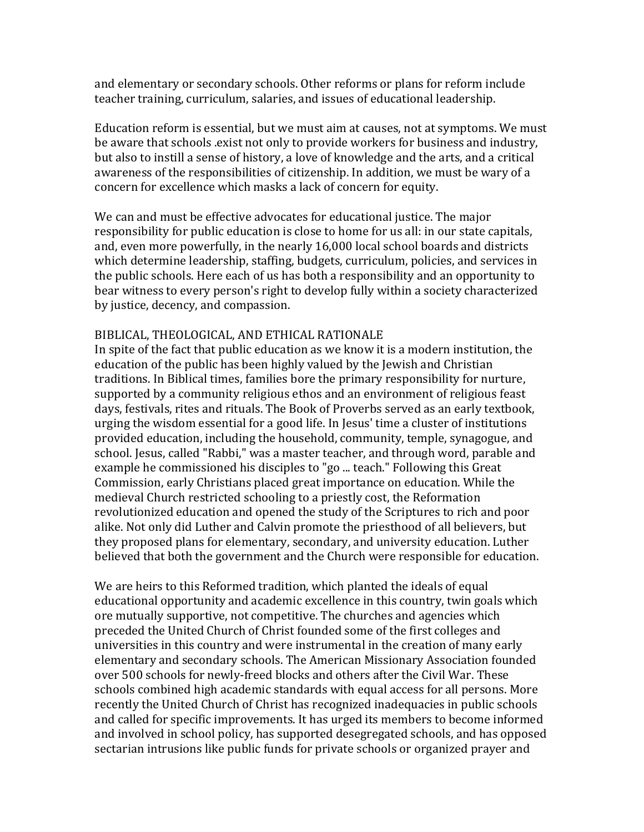and elementary or secondary schools. Other reforms or plans for reform include teacher training, curriculum, salaries, and issues of educational leadership.

Education reform is essential, but we must aim at causes, not at symptoms. We must be aware that schools .exist not only to provide workers for business and industry, but also to instill a sense of history, a love of knowledge and the arts, and a critical awareness of the responsibilities of citizenship. In addition, we must be wary of a concern for excellence which masks a lack of concern for equity.

We can and must be effective advocates for educational justice. The major responsibility for public education is close to home for us all: in our state capitals, and, even more powerfully, in the nearly 16,000 local school boards and districts which determine leadership, staffing, budgets, curriculum, policies, and services in the public schools. Here each of us has both a responsibility and an opportunity to bear witness to every person's right to develop fully within a society characterized by justice, decency, and compassion.

#### BIBLICAL, THEOLOGICAL, AND ETHICAL RATIONALE

In spite of the fact that public education as we know it is a modern institution, the education of the public has been highly valued by the Jewish and Christian traditions. In Biblical times, families bore the primary responsibility for nurture, supported by a community religious ethos and an environment of religious feast days, festivals, rites and rituals. The Book of Proverbs served as an early textbook, urging the wisdom essential for a good life. In Jesus' time a cluster of institutions provided education, including the household, community, temple, synagogue, and school. Jesus, called "Rabbi," was a master teacher, and through word, parable and example he commissioned his disciples to "go ... teach." Following this Great Commission, early Christians placed great importance on education. While the medieval Church restricted schooling to a priestly cost, the Reformation revolutionized education and opened the study of the Scriptures to rich and poor alike. Not only did Luther and Calvin promote the priesthood of all believers, but they proposed plans for elementary, secondary, and university education. Luther believed that both the government and the Church were responsible for education.

We are heirs to this Reformed tradition, which planted the ideals of equal educational opportunity and academic excellence in this country, twin goals which ore mutually supportive, not competitive. The churches and agencies which preceded the United Church of Christ founded some of the first colleges and universities in this country and were instrumental in the creation of many early elementary and secondary schools. The American Missionary Association founded over 500 schools for newly-freed blocks and others after the Civil War. These schools combined high academic standards with equal access for all persons. More recently the United Church of Christ has recognized inadequacies in public schools and called for specific improvements. It has urged its members to become informed and involved in school policy, has supported desegregated schools, and has opposed sectarian intrusions like public funds for private schools or organized prayer and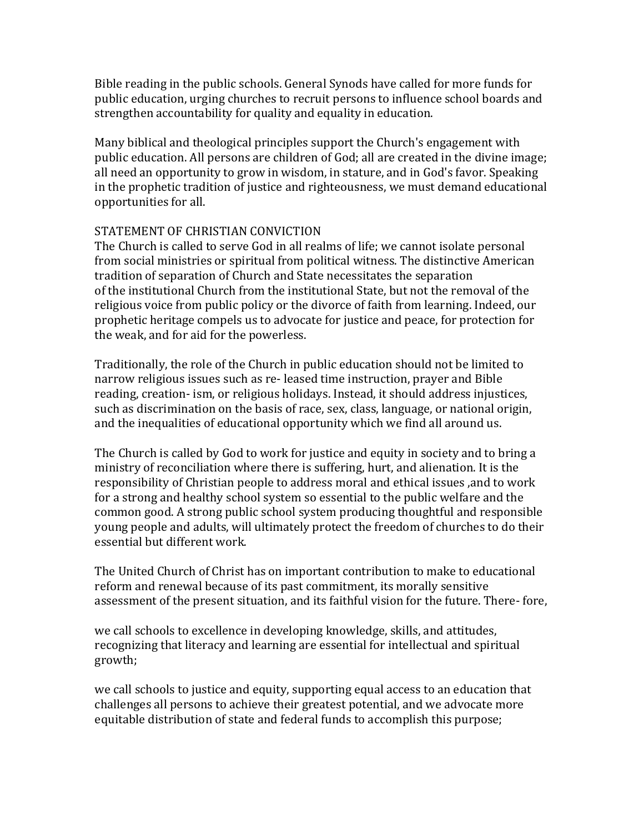Bible reading in the public schools. General Synods have called for more funds for public education, urging churches to recruit persons to influence school boards and strengthen accountability for quality and equality in education.

Many biblical and theological principles support the Church's engagement with public education. All persons are children of God; all are created in the divine image; all need an opportunity to grow in wisdom, in stature, and in God's favor. Speaking in the prophetic tradition of justice and righteousness, we must demand educational opportunities for all.

## STATEMENT OF CHRISTIAN CONVICTION

The Church is called to serve God in all realms of life; we cannot isolate personal from social ministries or spiritual from political witness. The distinctive American tradition of separation of Church and State necessitates the separation of the institutional Church from the institutional State, but not the removal of the religious voice from public policy or the divorce of faith from learning. Indeed, our prophetic heritage compels us to advocate for justice and peace, for protection for the weak, and for aid for the powerless.

Traditionally, the role of the Church in public education should not be limited to narrow religious issues such as re- leased time instruction, prayer and Bible reading, creation- ism, or religious holidays. Instead, it should address injustices, such as discrimination on the basis of race, sex, class, language, or national origin, and the inequalities of educational opportunity which we find all around us.

The Church is called by God to work for justice and equity in society and to bring a ministry of reconciliation where there is suffering, hurt, and alienation. It is the responsibility of Christian people to address moral and ethical issues ,and to work for a strong and healthy school system so essential to the public welfare and the common good. A strong public school system producing thoughtful and responsible young people and adults, will ultimately protect the freedom of churches to do their essential but different work.

The United Church of Christ has on important contribution to make to educational reform and renewal because of its past commitment, its morally sensitive assessment of the present situation, and its faithful vision for the future. There- fore,

we call schools to excellence in developing knowledge, skills, and attitudes, recognizing that literacy and learning are essential for intellectual and spiritual growth;

we call schools to justice and equity, supporting equal access to an education that challenges all persons to achieve their greatest potential, and we advocate more equitable distribution of state and federal funds to accomplish this purpose;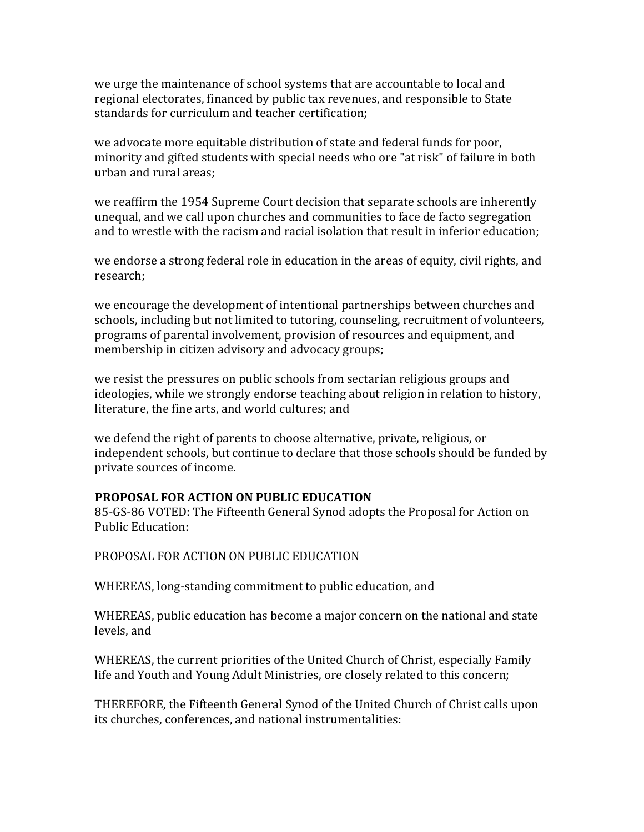we urge the maintenance of school systems that are accountable to local and regional electorates, financed by public tax revenues, and responsible to State standards for curriculum and teacher certification;

we advocate more equitable distribution of state and federal funds for poor, minority and gifted students with special needs who ore "at risk" of failure in both urban and rural areas;

we reaffirm the 1954 Supreme Court decision that separate schools are inherently unequal, and we call upon churches and communities to face de facto segregation and to wrestle with the racism and racial isolation that result in inferior education;

we endorse a strong federal role in education in the areas of equity, civil rights, and research;

we encourage the development of intentional partnerships between churches and schools, including but not limited to tutoring, counseling, recruitment of volunteers, programs of parental involvement, provision of resources and equipment, and membership in citizen advisory and advocacy groups;

we resist the pressures on public schools from sectarian religious groups and ideologies, while we strongly endorse teaching about religion in relation to history, literature, the fine arts, and world cultures; and

we defend the right of parents to choose alternative, private, religious, or independent schools, but continue to declare that those schools should be funded by private sources of income.

## **PROPOSAL FOR ACTION ON PUBLIC EDUCATION**

85-GS-86 VOTED: The Fifteenth General Synod adopts the Proposal for Action on Public Education:

PROPOSAL FOR ACTION ON PUBLIC EDUCATION 

WHEREAS, long-standing commitment to public education, and

WHEREAS, public education has become a major concern on the national and state levels, and

WHEREAS, the current priorities of the United Church of Christ, especially Family life and Youth and Young Adult Ministries, ore closely related to this concern;

THEREFORE, the Fifteenth General Synod of the United Church of Christ calls upon its churches, conferences, and national instrumentalities: